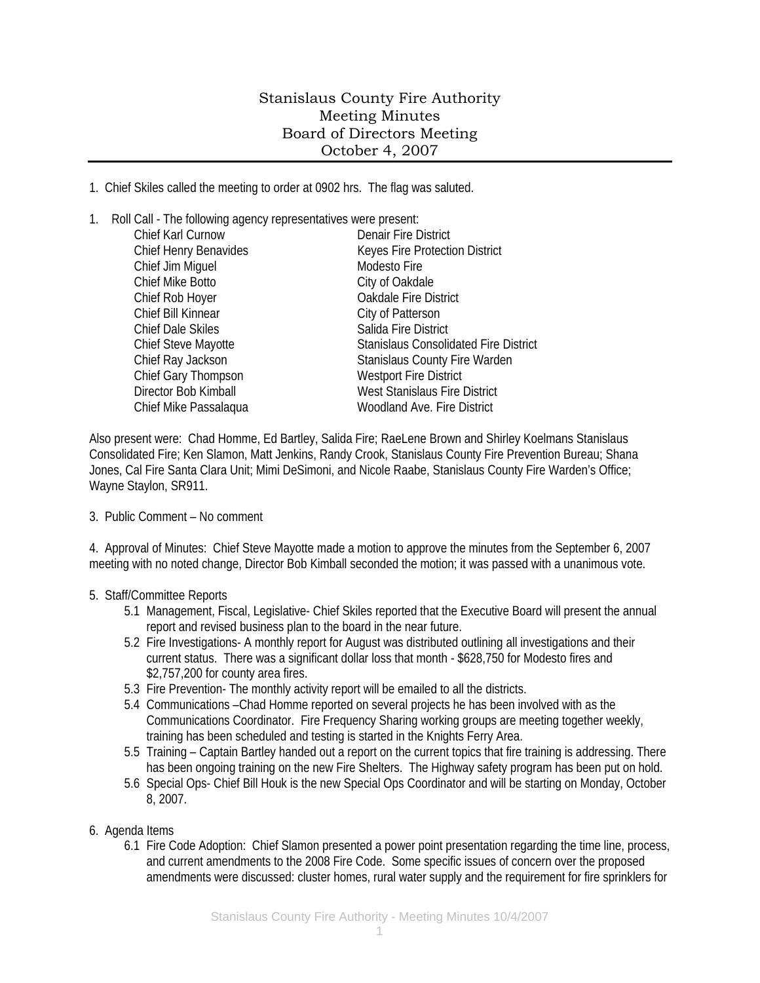## Stanislaus County Fire Authority Meeting Minutes Board of Directors Meeting October 4, 2007

1. Chief Skiles called the meeting to order at 0902 hrs. The flag was saluted.

1. Roll Call - The following agency representatives were present:

| Chief Karl Curnow        | <b>Denair Fire District</b>                  |
|--------------------------|----------------------------------------------|
| Chief Henry Benavides    | Keyes Fire Protection District               |
| Chief Jim Miquel         | Modesto Fire                                 |
| Chief Mike Botto         | City of Oakdale                              |
| Chief Rob Hoyer          | Oakdale Fire District                        |
| Chief Bill Kinnear       | City of Patterson                            |
| <b>Chief Dale Skiles</b> | Salida Fire District                         |
| Chief Steve Mayotte      | <b>Stanislaus Consolidated Fire District</b> |
| Chief Ray Jackson        | Stanislaus County Fire Warden                |
| Chief Gary Thompson      | <b>Westport Fire District</b>                |
| Director Bob Kimball     | West Stanislaus Fire District                |
| Chief Mike Passalaqua    | <b>Woodland Ave. Fire District</b>           |
|                          |                                              |

Also present were: Chad Homme, Ed Bartley, Salida Fire; RaeLene Brown and Shirley Koelmans Stanislaus Consolidated Fire; Ken Slamon, Matt Jenkins, Randy Crook, Stanislaus County Fire Prevention Bureau; Shana Jones, Cal Fire Santa Clara Unit; Mimi DeSimoni, and Nicole Raabe, Stanislaus County Fire Warden's Office; Wayne Staylon, SR911.

3. Public Comment – No comment

4. Approval of Minutes: Chief Steve Mayotte made a motion to approve the minutes from the September 6, 2007 meeting with no noted change, Director Bob Kimball seconded the motion; it was passed with a unanimous vote.

- 5. Staff/Committee Reports
	- 5.1 Management, Fiscal, Legislative- Chief Skiles reported that the Executive Board will present the annual report and revised business plan to the board in the near future.
	- 5.2 Fire Investigations- A monthly report for August was distributed outlining all investigations and their current status. There was a significant dollar loss that month - \$628,750 for Modesto fires and \$2,757,200 for county area fires.
	- 5.3 Fire Prevention- The monthly activity report will be emailed to all the districts.
	- 5.4 Communications –Chad Homme reported on several projects he has been involved with as the Communications Coordinator. Fire Frequency Sharing working groups are meeting together weekly, training has been scheduled and testing is started in the Knights Ferry Area.
	- 5.5 Training Captain Bartley handed out a report on the current topics that fire training is addressing. There has been ongoing training on the new Fire Shelters. The Highway safety program has been put on hold.
	- 5.6 Special Ops- Chief Bill Houk is the new Special Ops Coordinator and will be starting on Monday, October 8, 2007.
- 6. Agenda Items
	- 6.1 Fire Code Adoption: Chief Slamon presented a power point presentation regarding the time line, process, and current amendments to the 2008 Fire Code. Some specific issues of concern over the proposed amendments were discussed: cluster homes, rural water supply and the requirement for fire sprinklers for

1